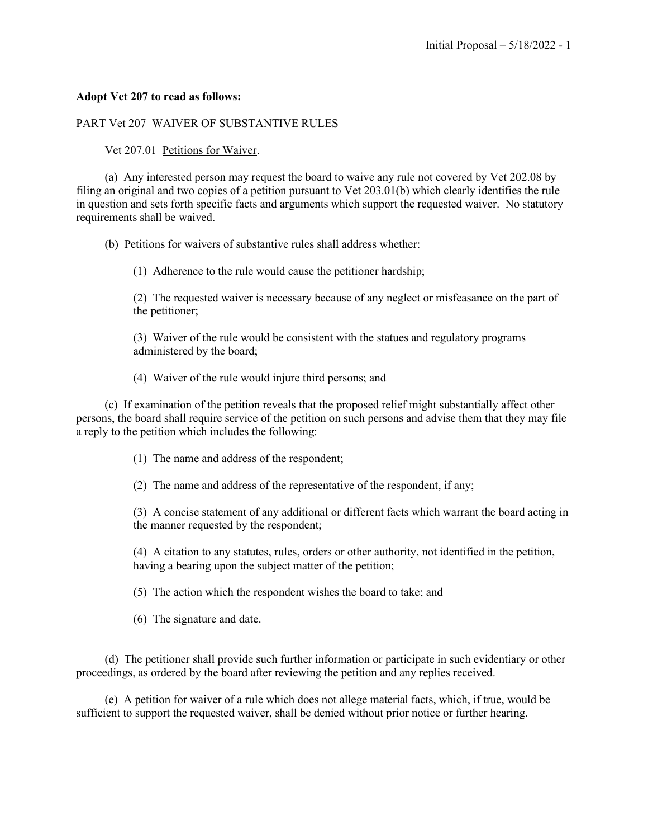## **Adopt Vet 207 to read as follows:**

## PART Vet 207 WAIVER OF SUBSTANTIVE RULES

## Vet 207.01 Petitions for Waiver.

 (a) Any interested person may request the board to waive any rule not covered by Vet 202.08 by filing an original and two copies of a petition pursuant to Vet 203.01(b) which clearly identifies the rule in question and sets forth specific facts and arguments which support the requested waiver. No statutory requirements shall be waived.

(b) Petitions for waivers of substantive rules shall address whether:

(1) Adherence to the rule would cause the petitioner hardship;

(2) The requested waiver is necessary because of any neglect or misfeasance on the part of the petitioner;

(3) Waiver of the rule would be consistent with the statues and regulatory programs administered by the board;

(4) Waiver of the rule would injure third persons; and

(c) If examination of the petition reveals that the proposed relief might substantially affect other persons, the board shall require service of the petition on such persons and advise them that they may file a reply to the petition which includes the following:

(1) The name and address of the respondent;

(2) The name and address of the representative of the respondent, if any;

(3) A concise statement of any additional or different facts which warrant the board acting in the manner requested by the respondent;

(4) A citation to any statutes, rules, orders or other authority, not identified in the petition, having a bearing upon the subject matter of the petition;

(5) The action which the respondent wishes the board to take; and

(6) The signature and date.

 (d) The petitioner shall provide such further information or participate in such evidentiary or other proceedings, as ordered by the board after reviewing the petition and any replies received.

(e) A petition for waiver of a rule which does not allege material facts, which, if true, would be sufficient to support the requested waiver, shall be denied without prior notice or further hearing.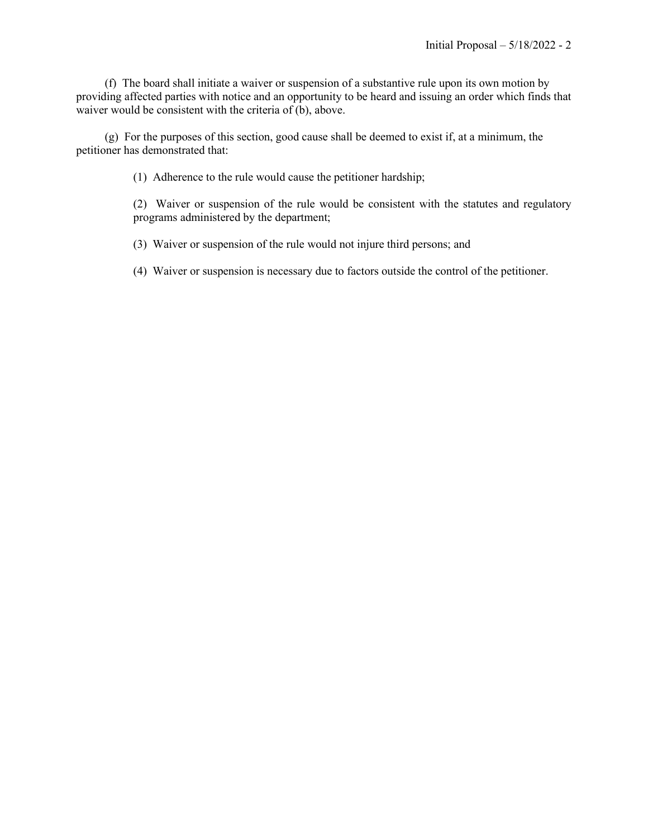(f) The board shall initiate a waiver or suspension of a substantive rule upon its own motion by providing affected parties with notice and an opportunity to be heard and issuing an order which finds that waiver would be consistent with the criteria of (b), above.

(g) For the purposes of this section, good cause shall be deemed to exist if, at a minimum, the petitioner has demonstrated that:

(1) Adherence to the rule would cause the petitioner hardship;

(2) Waiver or suspension of the rule would be consistent with the statutes and regulatory programs administered by the department;

(3) Waiver or suspension of the rule would not injure third persons; and

(4) Waiver or suspension is necessary due to factors outside the control of the petitioner.